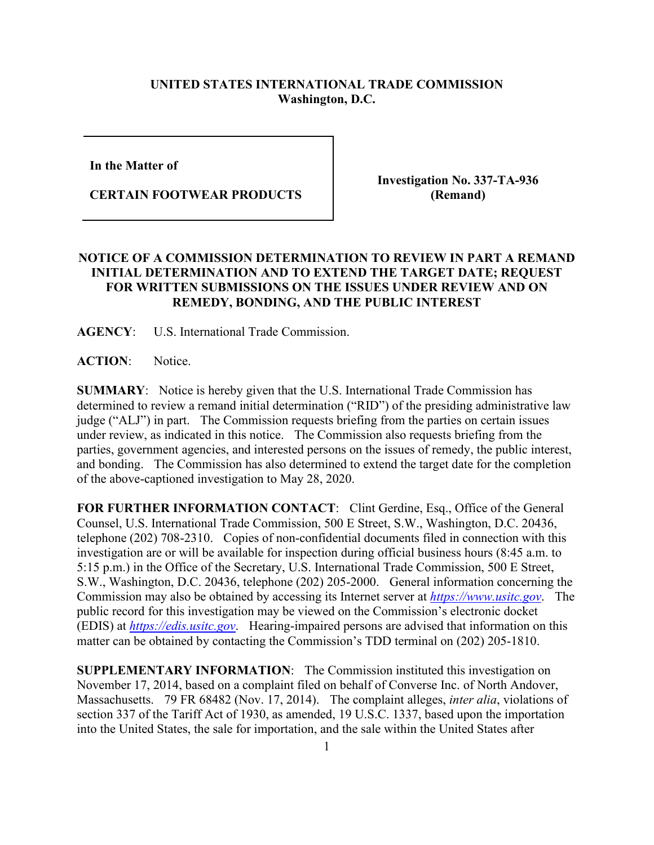## **UNITED STATES INTERNATIONAL TRADE COMMISSION Washington, D.C.**

**In the Matter of** 

**CERTAIN FOOTWEAR PRODUCTS**

**Investigation No. 337-TA-936 (Remand)**

## **NOTICE OF A COMMISSION DETERMINATION TO REVIEW IN PART A REMAND INITIAL DETERMINATION AND TO EXTEND THE TARGET DATE; REQUEST FOR WRITTEN SUBMISSIONS ON THE ISSUES UNDER REVIEW AND ON REMEDY, BONDING, AND THE PUBLIC INTEREST**

**AGENCY**: U.S. International Trade Commission.

ACTION: Notice.

**SUMMARY**: Notice is hereby given that the U.S. International Trade Commission has determined to review a remand initial determination ("RID") of the presiding administrative law judge ("ALJ") in part. The Commission requests briefing from the parties on certain issues under review, as indicated in this notice. The Commission also requests briefing from the parties, government agencies, and interested persons on the issues of remedy, the public interest, and bonding. The Commission has also determined to extend the target date for the completion of the above-captioned investigation to May 28, 2020.

**FOR FURTHER INFORMATION CONTACT**: Clint Gerdine, Esq., Office of the General Counsel, U.S. International Trade Commission, 500 E Street, S.W., Washington, D.C. 20436, telephone (202) 708-2310. Copies of non-confidential documents filed in connection with this investigation are or will be available for inspection during official business hours (8:45 a.m. to 5:15 p.m.) in the Office of the Secretary, U.S. International Trade Commission, 500 E Street, S.W., Washington, D.C. 20436, telephone (202) 205-2000. General information concerning the Commission may also be obtained by accessing its Internet server at *[https://www.usitc.gov](https://www.usitc.gov/)*. The public record for this investigation may be viewed on the Commission's electronic docket (EDIS) at *[https://edis.usitc.gov](https://edis.usitc.gov/)*. Hearing-impaired persons are advised that information on this matter can be obtained by contacting the Commission's TDD terminal on (202) 205-1810.

**SUPPLEMENTARY INFORMATION:** The Commission instituted this investigation on November 17, 2014, based on a complaint filed on behalf of Converse Inc. of North Andover, Massachusetts. 79 FR 68482 (Nov. 17, 2014). The complaint alleges, *inter alia*, violations of section 337 of the Tariff Act of 1930, as amended, 19 U.S.C. 1337, based upon the importation into the United States, the sale for importation, and the sale within the United States after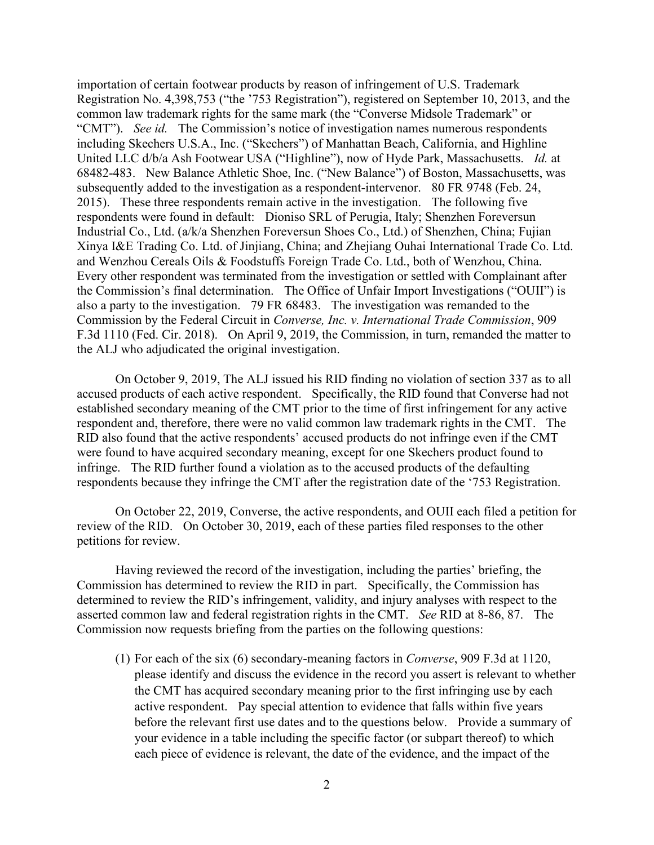importation of certain footwear products by reason of infringement of U.S. Trademark Registration No. 4,398,753 ("the '753 Registration"), registered on September 10, 2013, and the common law trademark rights for the same mark (the "Converse Midsole Trademark" or "CMT"). *See id.* The Commission's notice of investigation names numerous respondents including Skechers U.S.A., Inc. ("Skechers") of Manhattan Beach, California, and Highline United LLC d/b/a Ash Footwear USA ("Highline"), now of Hyde Park, Massachusetts. *Id.* at 68482-483. New Balance Athletic Shoe, Inc. ("New Balance") of Boston, Massachusetts, was subsequently added to the investigation as a respondent-intervenor. 80 FR 9748 (Feb. 24, 2015). These three respondents remain active in the investigation. The following five respondents were found in default: Dioniso SRL of Perugia, Italy; Shenzhen Foreversun Industrial Co., Ltd. (a/k/a Shenzhen Foreversun Shoes Co., Ltd.) of Shenzhen, China; Fujian Xinya I&E Trading Co. Ltd. of Jinjiang, China; and Zhejiang Ouhai International Trade Co. Ltd. and Wenzhou Cereals Oils & Foodstuffs Foreign Trade Co. Ltd., both of Wenzhou, China. Every other respondent was terminated from the investigation or settled with Complainant after the Commission's final determination. The Office of Unfair Import Investigations ("OUII") is also a party to the investigation. 79 FR 68483.The investigation was remanded to the Commission by the Federal Circuit in *Converse, Inc. v. International Trade Commission*, 909 F.3d 1110 (Fed. Cir. 2018). On April 9, 2019, the Commission, in turn, remanded the matter to the ALJ who adjudicated the original investigation.

On October 9, 2019, The ALJ issued his RID finding no violation of section 337 as to all accused products of each active respondent. Specifically, the RID found that Converse had not established secondary meaning of the CMT prior to the time of first infringement for any active respondent and, therefore, there were no valid common law trademark rights in the CMT. The RID also found that the active respondents' accused products do not infringe even if the CMT were found to have acquired secondary meaning, except for one Skechers product found to infringe. The RID further found a violation as to the accused products of the defaulting respondents because they infringe the CMT after the registration date of the '753 Registration.

On October 22, 2019, Converse, the active respondents, and OUII each filed a petition for review of the RID. On October 30, 2019, each of these parties filed responses to the other petitions for review.

Having reviewed the record of the investigation, including the parties' briefing, the Commission has determined to review the RID in part. Specifically, the Commission has determined to review the RID's infringement, validity, and injury analyses with respect to the asserted common law and federal registration rights in the CMT. *See* RID at 8-86, 87. The Commission now requests briefing from the parties on the following questions:

(1) For each of the six (6) secondary-meaning factors in *Converse*, 909 F.3d at 1120, please identify and discuss the evidence in the record you assert is relevant to whether the CMT has acquired secondary meaning prior to the first infringing use by each active respondent. Pay special attention to evidence that falls within five years before the relevant first use dates and to the questions below. Provide a summary of your evidence in a table including the specific factor (or subpart thereof) to which each piece of evidence is relevant, the date of the evidence, and the impact of the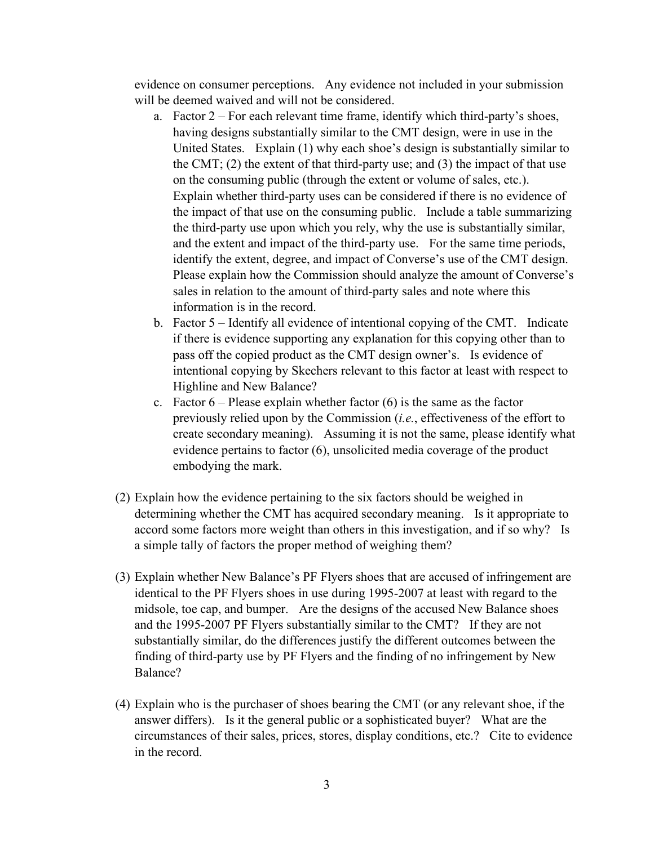evidence on consumer perceptions. Any evidence not included in your submission will be deemed waived and will not be considered.

- a. Factor 2 For each relevant time frame, identify which third-party's shoes, having designs substantially similar to the CMT design, were in use in the United States. Explain (1) why each shoe's design is substantially similar to the CMT; (2) the extent of that third-party use; and (3) the impact of that use on the consuming public (through the extent or volume of sales, etc.). Explain whether third-party uses can be considered if there is no evidence of the impact of that use on the consuming public. Include a table summarizing the third-party use upon which you rely, why the use is substantially similar, and the extent and impact of the third-party use. For the same time periods, identify the extent, degree, and impact of Converse's use of the CMT design. Please explain how the Commission should analyze the amount of Converse's sales in relation to the amount of third-party sales and note where this information is in the record.
- b. Factor 5 Identify all evidence of intentional copying of the CMT. Indicate if there is evidence supporting any explanation for this copying other than to pass off the copied product as the CMT design owner's. Is evidence of intentional copying by Skechers relevant to this factor at least with respect to Highline and New Balance?
- c. Factor  $6$  Please explain whether factor  $(6)$  is the same as the factor previously relied upon by the Commission (*i.e.*, effectiveness of the effort to create secondary meaning). Assuming it is not the same, please identify what evidence pertains to factor (6), unsolicited media coverage of the product embodying the mark.
- (2) Explain how the evidence pertaining to the six factors should be weighed in determining whether the CMT has acquired secondary meaning. Is it appropriate to accord some factors more weight than others in this investigation, and if so why? Is a simple tally of factors the proper method of weighing them?
- (3) Explain whether New Balance's PF Flyers shoes that are accused of infringement are identical to the PF Flyers shoes in use during 1995-2007 at least with regard to the midsole, toe cap, and bumper. Are the designs of the accused New Balance shoes and the 1995-2007 PF Flyers substantially similar to the CMT? If they are not substantially similar, do the differences justify the different outcomes between the finding of third-party use by PF Flyers and the finding of no infringement by New Balance?
- (4) Explain who is the purchaser of shoes bearing the CMT (or any relevant shoe, if the answer differs). Is it the general public or a sophisticated buyer? What are the circumstances of their sales, prices, stores, display conditions, etc.? Cite to evidence in the record.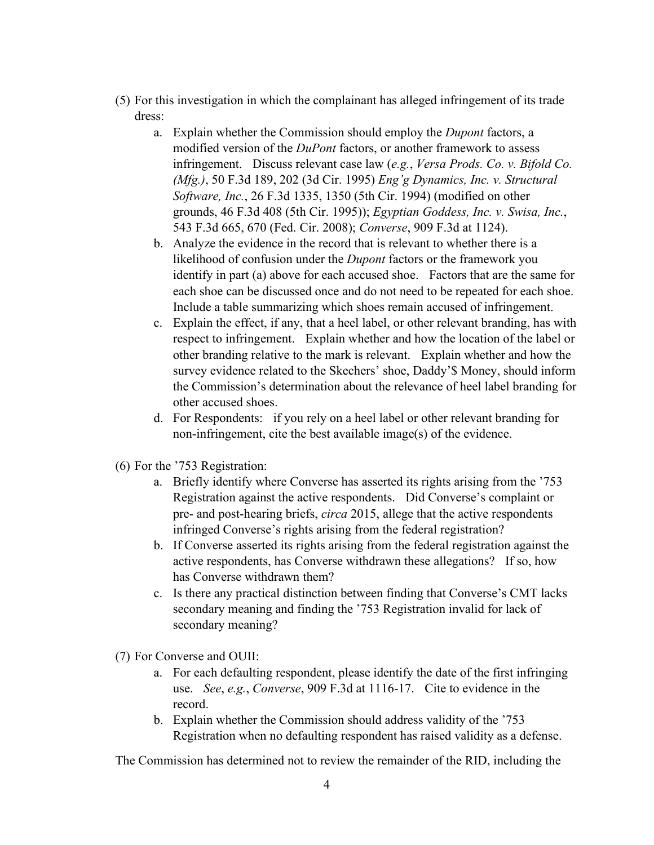- (5) For this investigation in which the complainant has alleged infringement of its trade dress:
	- a. Explain whether the Commission should employ the *Dupont* factors, a modified version of the *DuPont* factors, or another framework to assess infringement. Discuss relevant case law (*e.g.*, *Versa Prods. Co. v. Bifold Co. (Mfg.)*, 50 F.3d 189, 202 (3d Cir. 1995) *Eng'g Dynamics, Inc. v. Structural Software, Inc.*, 26 F.3d 1335, 1350 (5th Cir. 1994) (modified on other grounds, 46 F.3d 408 (5th Cir. 1995)); *Egyptian Goddess, Inc. v. Swisa, Inc.*, 543 F.3d 665, 670 (Fed. Cir. 2008); *Converse*, 909 F.3d at 1124).
	- b. Analyze the evidence in the record that is relevant to whether there is a likelihood of confusion under the *Dupont* factors or the framework you identify in part (a) above for each accused shoe. Factors that are the same for each shoe can be discussed once and do not need to be repeated for each shoe. Include a table summarizing which shoes remain accused of infringement.
	- c. Explain the effect, if any, that a heel label, or other relevant branding, has with respect to infringement. Explain whether and how the location of the label or other branding relative to the mark is relevant. Explain whether and how the survey evidence related to the Skechers' shoe, Daddy'\$ Money, should inform the Commission's determination about the relevance of heel label branding for other accused shoes.
	- d. For Respondents: if you rely on a heel label or other relevant branding for non-infringement, cite the best available image(s) of the evidence.
- (6) For the '753 Registration:
	- a. Briefly identify where Converse has asserted its rights arising from the '753 Registration against the active respondents. Did Converse's complaint or pre- and post-hearing briefs, *circa* 2015, allege that the active respondents infringed Converse's rights arising from the federal registration?
	- b. If Converse asserted its rights arising from the federal registration against the active respondents, has Converse withdrawn these allegations? If so, how has Converse withdrawn them?
	- c. Is there any practical distinction between finding that Converse's CMT lacks secondary meaning and finding the '753 Registration invalid for lack of secondary meaning?
- (7) For Converse and OUII:
	- a. For each defaulting respondent, please identify the date of the first infringing use. *See*, *e.g.*, *Converse*, 909 F.3d at 1116-17. Cite to evidence in the record.
	- b. Explain whether the Commission should address validity of the '753 Registration when no defaulting respondent has raised validity as a defense.

The Commission has determined not to review the remainder of the RID, including the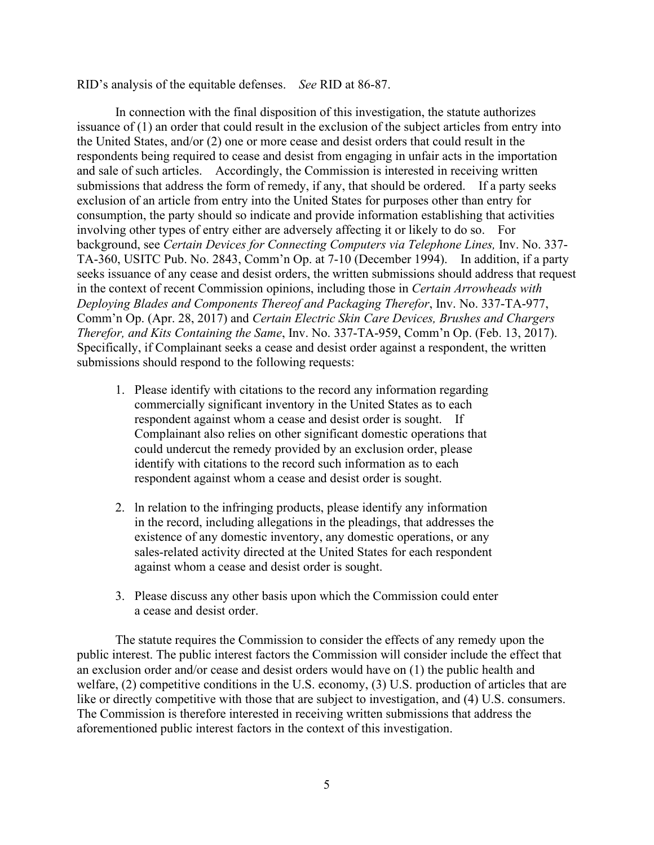RID's analysis of the equitable defenses. *See* RID at 86-87.

In connection with the final disposition of this investigation, the statute authorizes issuance of (1) an order that could result in the exclusion of the subject articles from entry into the United States, and/or (2) one or more cease and desist orders that could result in the respondents being required to cease and desist from engaging in unfair acts in the importation and sale of such articles. Accordingly, the Commission is interested in receiving written submissions that address the form of remedy, if any, that should be ordered. If a party seeks exclusion of an article from entry into the United States for purposes other than entry for consumption, the party should so indicate and provide information establishing that activities involving other types of entry either are adversely affecting it or likely to do so. For background, see *Certain Devices for Connecting Computers via Telephone Lines*, Inv. No. 337-TA-360, USITC Pub. No. 2843, Comm'n Op. at 7-10 (December 1994). In addition, if a party seeks issuance of any cease and desist orders, the written submissions should address that request in the context of recent Commission opinions, including those in *Certain Arrowheads with Deploying Blades and Components Thereof and Packaging Therefor*, Inv. No. 337-TA-977, Comm'n Op. (Apr. 28, 2017) and *Certain Electric Skin Care Devices, Brushes and Chargers Therefor, and Kits Containing the Same*, Inv. No. 337-TA-959, Comm'n Op. (Feb. 13, 2017). Specifically, if Complainant seeks a cease and desist order against a respondent, the written submissions should respond to the following requests:

- 1. Please identify with citations to the record any information regarding commercially significant inventory in the United States as to each respondent against whom a cease and desist order is sought. If Complainant also relies on other significant domestic operations that could undercut the remedy provided by an exclusion order, please identify with citations to the record such information as to each respondent against whom a cease and desist order is sought.
- 2. ln relation to the infringing products, please identify any information in the record, including allegations in the pleadings, that addresses the existence of any domestic inventory, any domestic operations, or any sales-related activity directed at the United States for each respondent against whom a cease and desist order is sought.
- 3. Please discuss any other basis upon which the Commission could enter a cease and desist order.

The statute requires the Commission to consider the effects of any remedy upon the public interest. The public interest factors the Commission will consider include the effect that an exclusion order and/or cease and desist orders would have on (1) the public health and welfare, (2) competitive conditions in the U.S. economy, (3) U.S. production of articles that are like or directly competitive with those that are subject to investigation, and (4) U.S. consumers. The Commission is therefore interested in receiving written submissions that address the aforementioned public interest factors in the context of this investigation.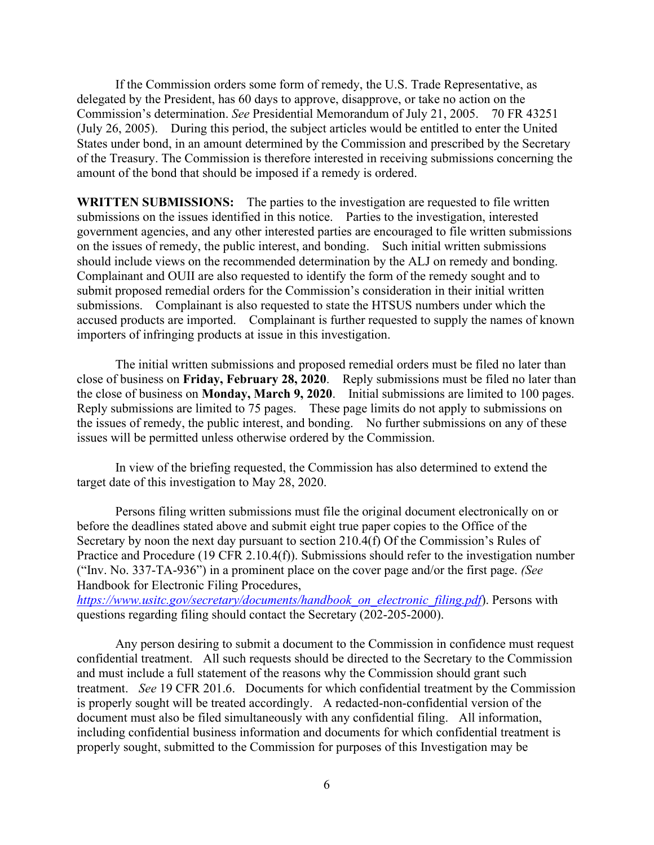If the Commission orders some form of remedy, the U.S. Trade Representative, as delegated by the President, has 60 days to approve, disapprove, or take no action on the Commission's determination. *See* Presidential Memorandum of July 21, 2005. 70 FR 43251 (July 26, 2005). During this period, the subject articles would be entitled to enter the United States under bond, in an amount determined by the Commission and prescribed by the Secretary of the Treasury. The Commission is therefore interested in receiving submissions concerning the amount of the bond that should be imposed if a remedy is ordered.

**WRITTEN SUBMISSIONS:** The parties to the investigation are requested to file written submissions on the issues identified in this notice. Parties to the investigation, interested government agencies, and any other interested parties are encouraged to file written submissions on the issues of remedy, the public interest, and bonding. Such initial written submissions should include views on the recommended determination by the ALJ on remedy and bonding. Complainant and OUII are also requested to identify the form of the remedy sought and to submit proposed remedial orders for the Commission's consideration in their initial written submissions. Complainant is also requested to state the HTSUS numbers under which the accused products are imported. Complainant is further requested to supply the names of known importers of infringing products at issue in this investigation.

The initial written submissions and proposed remedial orders must be filed no later than close of business on **Friday, February 28, 2020**. Reply submissions must be filed no later than the close of business on **Monday, March 9, 2020**. Initial submissions are limited to 100 pages. Reply submissions are limited to 75 pages. These page limits do not apply to submissions on the issues of remedy, the public interest, and bonding. No further submissions on any of these issues will be permitted unless otherwise ordered by the Commission.

In view of the briefing requested, the Commission has also determined to extend the target date of this investigation to May 28, 2020.

Persons filing written submissions must file the original document electronically on or before the deadlines stated above and submit eight true paper copies to the Office of the Secretary by noon the next day pursuant to section 210.4(f) Of the Commission's Rules of Practice and Procedure (19 CFR 2.10.4(f)). Submissions should refer to the investigation number ("Inv. No. 337-TA-936") in a prominent place on the cover page and/or the first page. *(See*  Handbook for Electronic Filing Procedures,

*[https://www.usitc.gov/secretary/documents/handbook\\_on\\_electronic\\_filing.pdf](https://www.usitc.gov/secretary/documents/handbook_on_electronic_filing.pdf)*). Persons with questions regarding filing should contact the Secretary (202-205-2000).

Any person desiring to submit a document to the Commission in confidence must request confidential treatment. All such requests should be directed to the Secretary to the Commission and must include a full statement of the reasons why the Commission should grant such treatment. *See* 19 CFR 201.6. Documents for which confidential treatment by the Commission is properly sought will be treated accordingly. A redacted-non-confidential version of the document must also be filed simultaneously with any confidential filing. All information, including confidential business information and documents for which confidential treatment is properly sought, submitted to the Commission for purposes of this Investigation may be